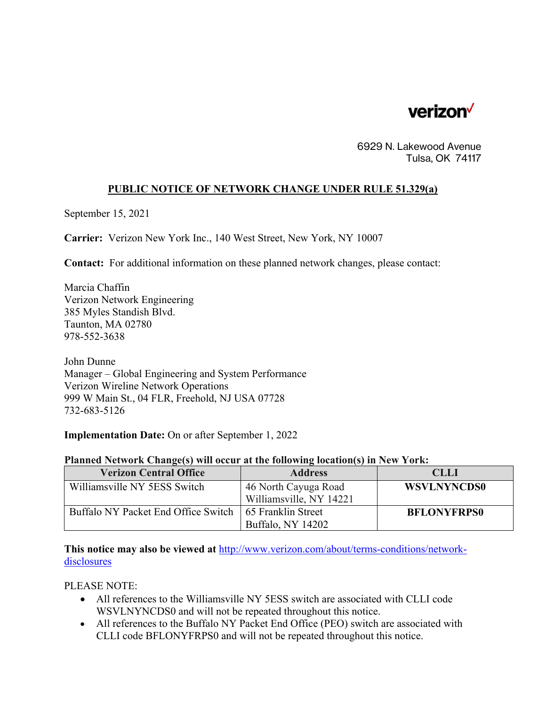

6929 N. Lakewood Avenue Tulsa, OK 74117

## **PUBLIC NOTICE OF NETWORK CHANGE UNDER RULE 51.329(a)**

September 15, 2021

**Carrier:** Verizon New York Inc., 140 West Street, New York, NY 10007

**Contact:** For additional information on these planned network changes, please contact:

Marcia Chaffin Verizon Network Engineering 385 Myles Standish Blvd. Taunton, MA 02780 978-552-3638

John Dunne Manager – Global Engineering and System Performance Verizon Wireline Network Operations 999 W Main St., 04 FLR, Freehold, NJ USA 07728 732-683-5126

**Implementation Date:** On or after September 1, 2022

| <b>Verizon Central Office</b>                            | <b>Address</b>          | <b>CLLI</b>        |
|----------------------------------------------------------|-------------------------|--------------------|
| Williamsville NY 5ESS Switch                             | 46 North Cayuga Road    | <b>WSVLNYNCDS0</b> |
|                                                          | Williamsville, NY 14221 |                    |
| Buffalo NY Packet End Office Switch   65 Franklin Street |                         | <b>BFLONYFRPS0</b> |
|                                                          | Buffalo, NY 14202       |                    |

**This notice may also be viewed at** http://www.verizon.com/about/terms-conditions/networkdisclosures

PLEASE NOTE:

- All references to the Williamsville NY 5ESS switch are associated with CLLI code WSVLNYNCDS0 and will not be repeated throughout this notice.
- All references to the Buffalo NY Packet End Office (PEO) switch are associated with CLLI code BFLONYFRPS0 and will not be repeated throughout this notice.